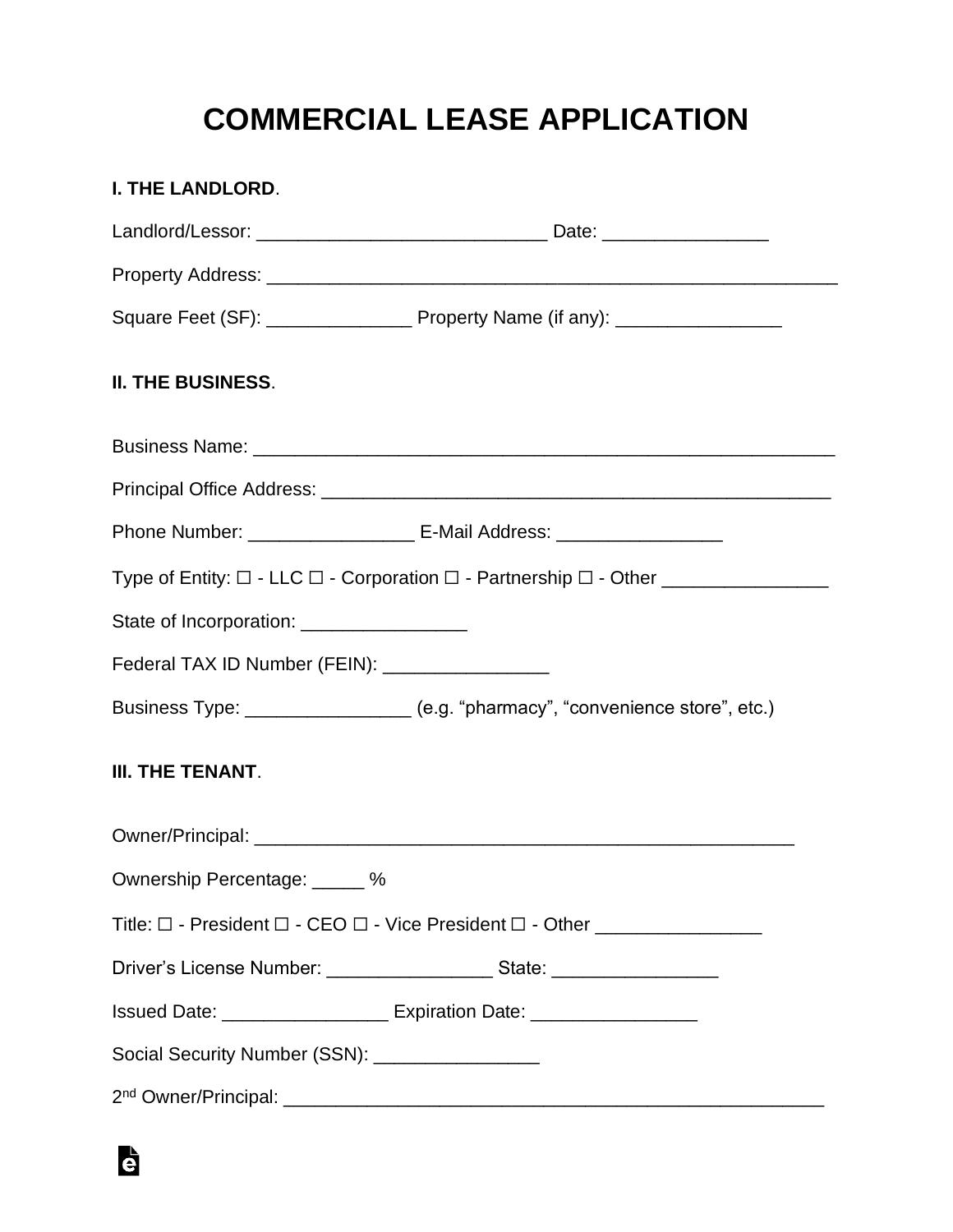## **COMMERCIAL LEASE APPLICATION**

| I. THE LANDLORD.                                 |                                                                                                                         |
|--------------------------------------------------|-------------------------------------------------------------------------------------------------------------------------|
|                                                  |                                                                                                                         |
|                                                  |                                                                                                                         |
|                                                  |                                                                                                                         |
| II. THE BUSINESS.                                |                                                                                                                         |
|                                                  |                                                                                                                         |
|                                                  |                                                                                                                         |
|                                                  | Phone Number: _______________________ E-Mail Address: __________________________                                        |
|                                                  | Type of Entity: $\square$ - LLC $\square$ - Corporation $\square$ - Partnership $\square$ - Other _____________________ |
| State of Incorporation: _________________        |                                                                                                                         |
| Federal TAX ID Number (FEIN): __________________ |                                                                                                                         |
|                                                  | Business Type: _________________ (e.g. "pharmacy", "convenience store", etc.)                                           |
| <b>III. THE TENANT.</b>                          |                                                                                                                         |
|                                                  |                                                                                                                         |
| Ownership Percentage: _____ %                    |                                                                                                                         |
|                                                  |                                                                                                                         |
|                                                  | Driver's License Number: ___________________________State: _____________________                                        |
|                                                  | Issued Date: _____________________ Expiration Date: ___________________                                                 |
| Social Security Number (SSN): _________________  |                                                                                                                         |
|                                                  |                                                                                                                         |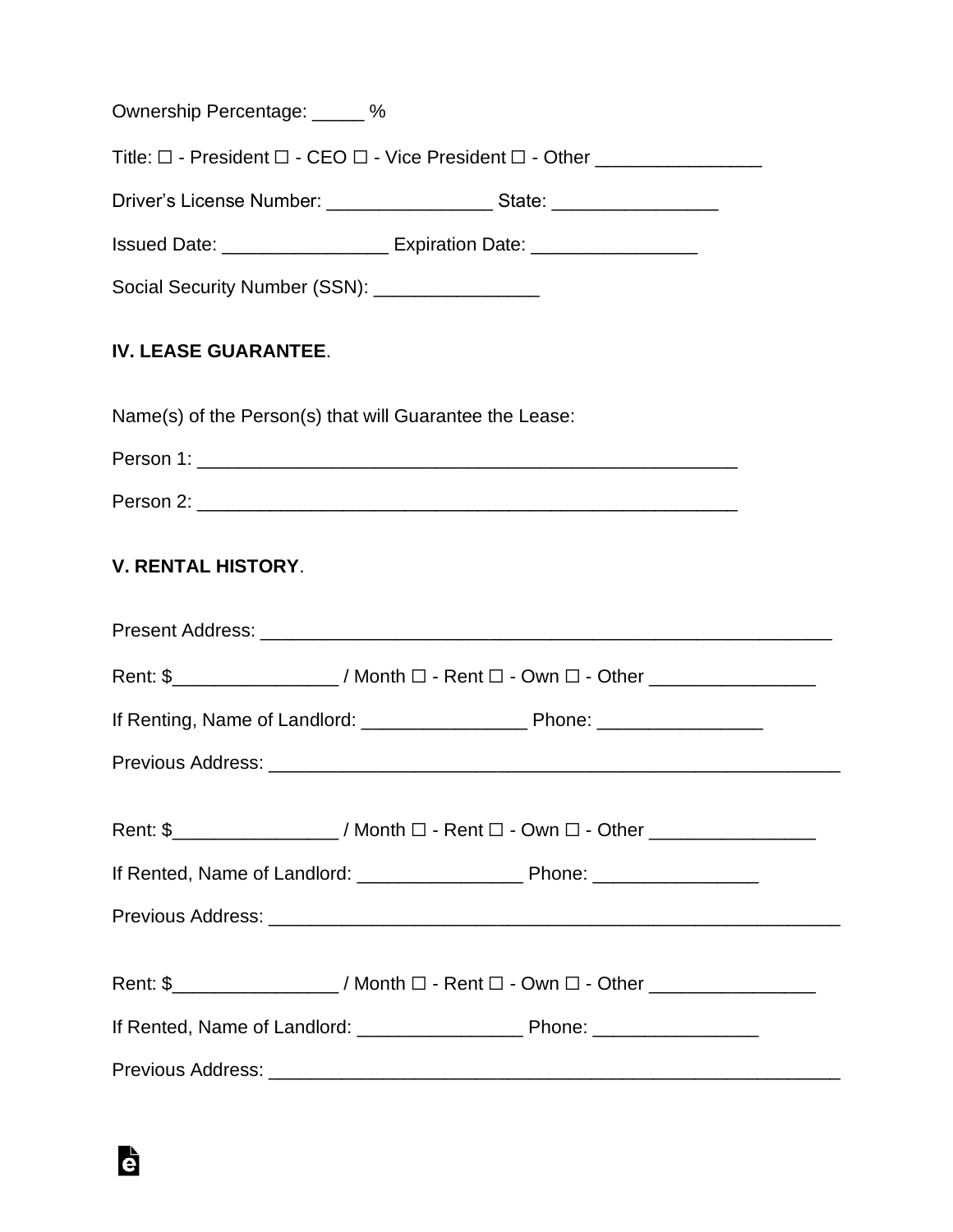| Ownership Percentage: _____ %                                                                           |  |
|---------------------------------------------------------------------------------------------------------|--|
|                                                                                                         |  |
| Driver's License Number: ______________________State: ___________________                               |  |
| Issued Date: ______________________ Expiration Date: ____________________                               |  |
| Social Security Number (SSN): _________________                                                         |  |
| <b>IV. LEASE GUARANTEE.</b>                                                                             |  |
| Name(s) of the Person(s) that will Guarantee the Lease:                                                 |  |
|                                                                                                         |  |
|                                                                                                         |  |
| <b>V. RENTAL HISTORY.</b>                                                                               |  |
|                                                                                                         |  |
| Rent: \$___________________/ Month □ - Rent □ - Own □ - Other __________________                        |  |
|                                                                                                         |  |
|                                                                                                         |  |
| Rent: \$___________________/ Month $\square$ - Rent $\square$ - Own $\square$ - Other _________________ |  |
|                                                                                                         |  |
|                                                                                                         |  |
| Rent: \$___________________/ Month $\Box$ - Rent $\Box$ - Own $\Box$ - Other _________________          |  |
|                                                                                                         |  |
|                                                                                                         |  |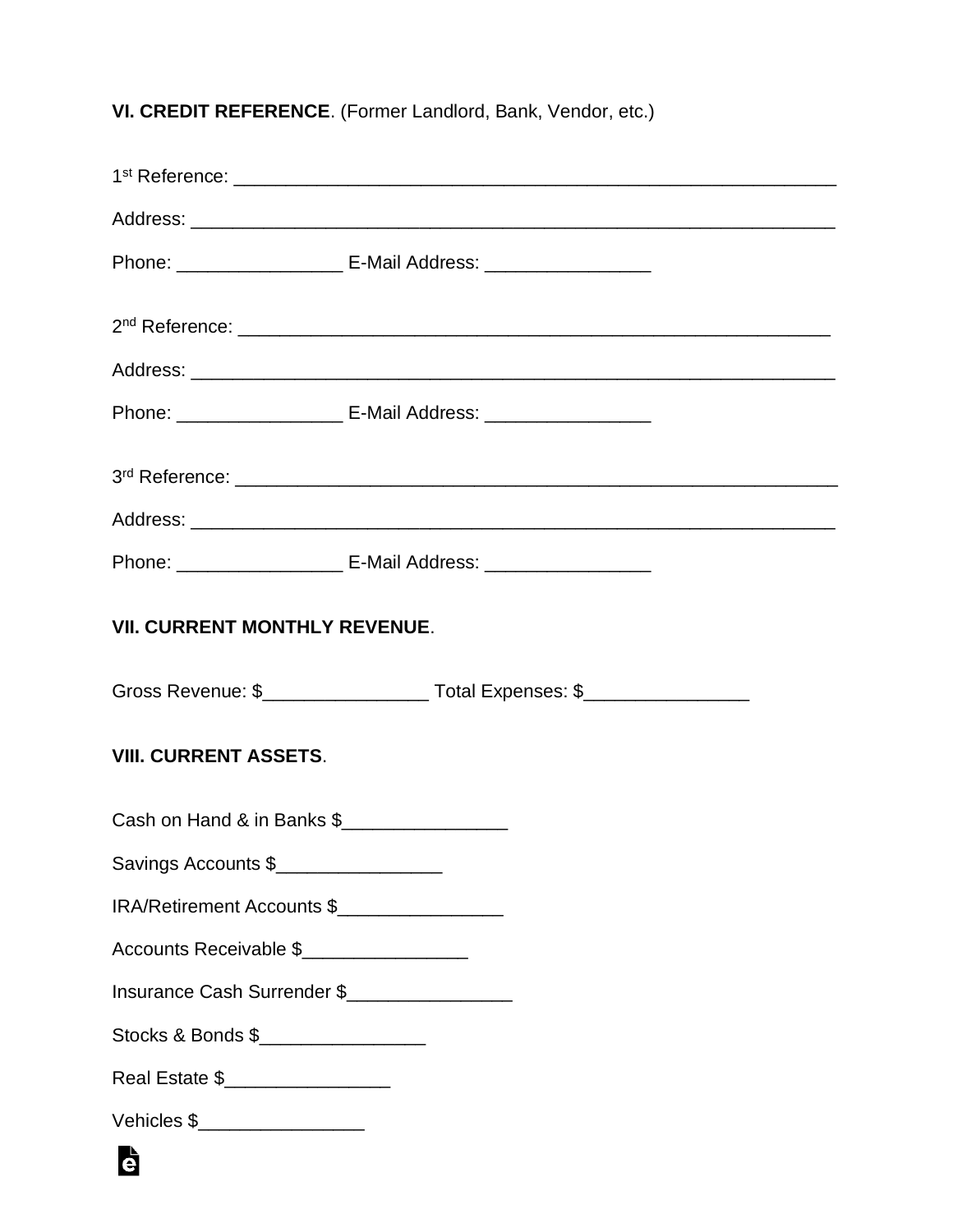**VI. CREDIT REFERENCE**. (Former Landlord, Bank, Vendor, etc.)

|                                      | Phone: ____________________________ E-Mail Address: ____________________________   |  |
|--------------------------------------|------------------------------------------------------------------------------------|--|
|                                      |                                                                                    |  |
|                                      |                                                                                    |  |
|                                      | Phone: __________________________ E-Mail Address: ______________________________   |  |
|                                      |                                                                                    |  |
|                                      |                                                                                    |  |
|                                      | Phone: _________________________ E-Mail Address: _______________________________   |  |
| <b>VII. CURRENT MONTHLY REVENUE.</b> |                                                                                    |  |
|                                      | Gross Revenue: \$________________________ Total Expenses: \$______________________ |  |
| <b>VIII. CURRENT ASSETS.</b>         |                                                                                    |  |
| Cash on Hand & in Banks \$           |                                                                                    |  |
| Savings Accounts \$                  |                                                                                    |  |
| IRA/Retirement Accounts \$           |                                                                                    |  |
| Accounts Receivable \$               |                                                                                    |  |
| Insurance Cash Surrender \$          |                                                                                    |  |
|                                      |                                                                                    |  |
| Stocks & Bonds \$                    |                                                                                    |  |
| Real Estate \$__________________     |                                                                                    |  |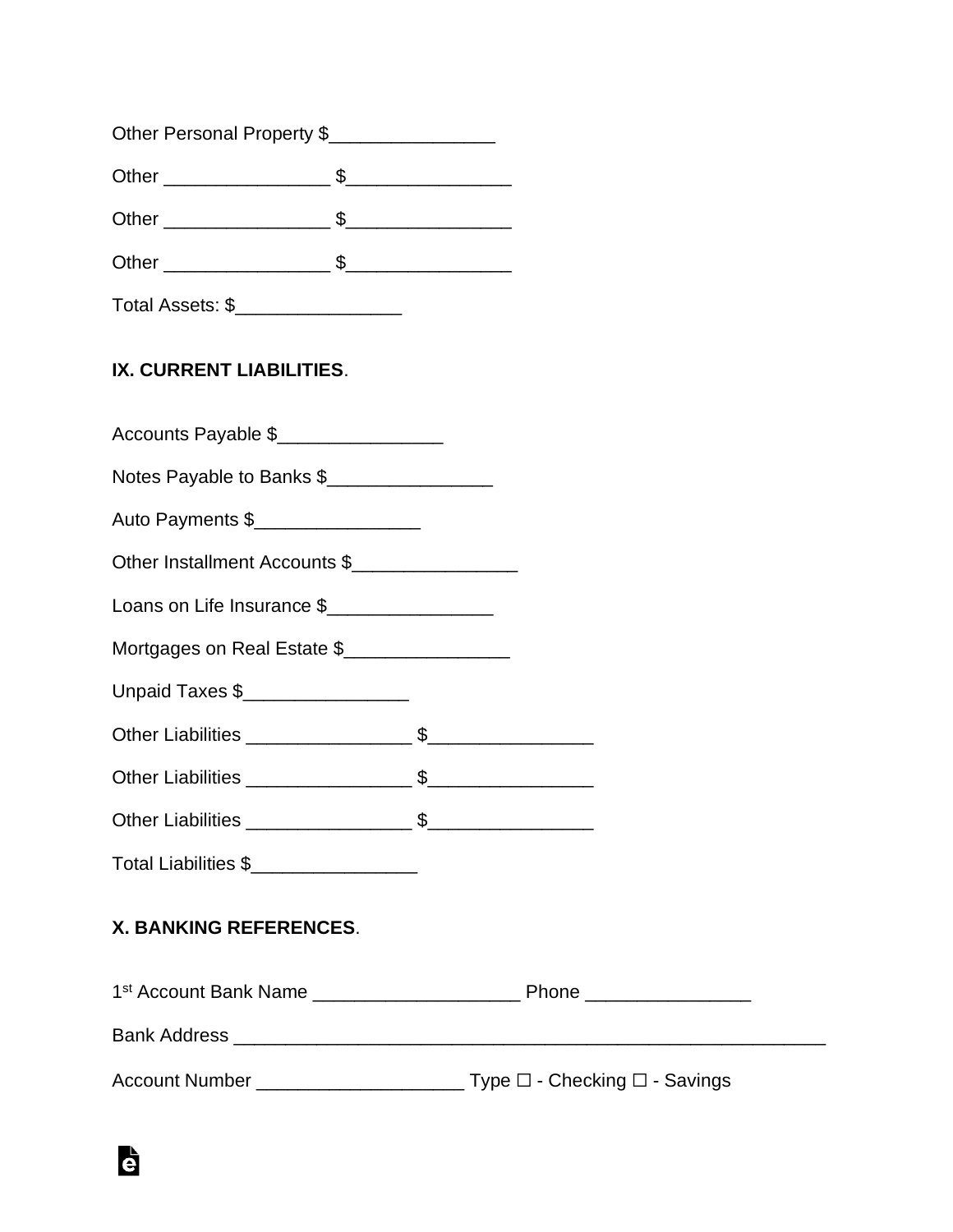| Other Personal Property \$ |  |  |
|----------------------------|--|--|
|----------------------------|--|--|

Other \_\_\_\_\_\_\_\_\_\_\_\_\_\_\_\_ \$\_\_\_\_\_\_\_\_\_\_\_\_\_\_\_\_

Other \_\_\_\_\_\_\_\_\_\_\_\_\_\_\_\_ \$\_\_\_\_\_\_\_\_\_\_\_\_\_\_\_\_

Other \_\_\_\_\_\_\_\_\_\_\_\_\_\_\_\_ \$\_\_\_\_\_\_\_\_\_\_\_\_\_\_\_\_

Total Assets: \$\_\_\_\_\_\_\_\_\_\_\_\_\_\_\_\_\_\_\_\_

## **IX. CURRENT LIABILITIES**.

| Accounts Payable \$                 |  |
|-------------------------------------|--|
| Notes Payable to Banks \$           |  |
| Auto Payments \$___________________ |  |
| Other Installment Accounts \$       |  |
| Loans on Life Insurance \$          |  |
| Mortgages on Real Estate \$         |  |
| Unpaid Taxes \$                     |  |
|                                     |  |
|                                     |  |
|                                     |  |
| Total Liabilities \$                |  |
| <b>X. BANKING REFERENCES.</b>       |  |
|                                     |  |
|                                     |  |
|                                     |  |